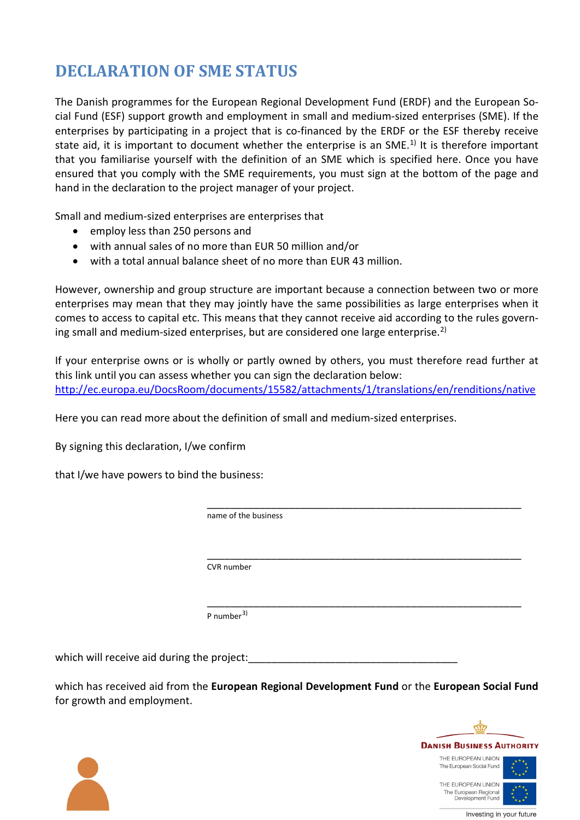## **DECLARATION OF SME STATUS**

The Danish programmes for the European Regional Development Fund (ERDF) and the European Social Fund (ESF) support growth and employment in small and medium-sized enterprises (SME). If the enterprises by participating in a project that is co-financed by the ERDF or the ESF thereby receive state aid, it is important to document whether the enterprise is an SME.<sup>[1\)](#page-1-0)</sup> It is therefore important that you familiarise yourself with the definition of an SME which is specified here. Once you have ensured that you comply with the SME requirements, you must sign at the bottom of the page and hand in the declaration to the project manager of your project.

Small and medium-sized enterprises are enterprises that

- employ less than 250 persons and
- with annual sales of no more than EUR 50 million and/or
- with a total annual balance sheet of no more than EUR 43 million.

However, ownership and group structure are important because a connection between two or more enterprises may mean that they may jointly have the same possibilities as large enterprises when it comes to access to capital etc. This means that they cannot receive aid according to the rules govern-ing small and medium-sized enterprises, but are considered one large enterprise.<sup>[2\)](#page-1-1)</sup>

If your enterprise owns or is wholly or partly owned by others, you must therefore read further at this link until you can assess whether you can sign the declaration below: <http://ec.europa.eu/DocsRoom/documents/15582/attachments/1/translations/en/renditions/native>

Here you can read more about the definition of small and medium-sized enterprises.

By signing this declaration, I/we confirm

that I/we have powers to bind the business:

 \_\_\_\_\_\_\_\_\_\_\_\_\_\_\_\_\_\_\_\_\_\_\_\_\_\_\_\_\_\_\_\_\_\_\_\_\_\_\_\_\_\_\_\_\_\_\_\_\_\_\_\_\_\_ name of the business

> \_\_\_\_\_\_\_\_\_\_\_\_\_\_\_\_\_\_\_\_\_\_\_\_\_\_\_\_\_\_\_\_\_\_\_\_\_\_\_\_\_\_\_\_\_\_\_\_\_\_\_\_\_\_ CVR number

P number<sup>[3\)](#page-1-2)</sup>

which will receive aid during the project:

which has received aid from the **European Regional Development Fund** or the **European Social Fund** for growth and employment.

\_\_\_\_\_\_\_\_\_\_\_\_\_\_\_\_\_\_\_\_\_\_\_\_\_\_\_\_\_\_\_\_\_\_\_\_\_\_\_\_\_\_\_\_\_\_\_\_\_\_\_\_\_\_





Investing in your future